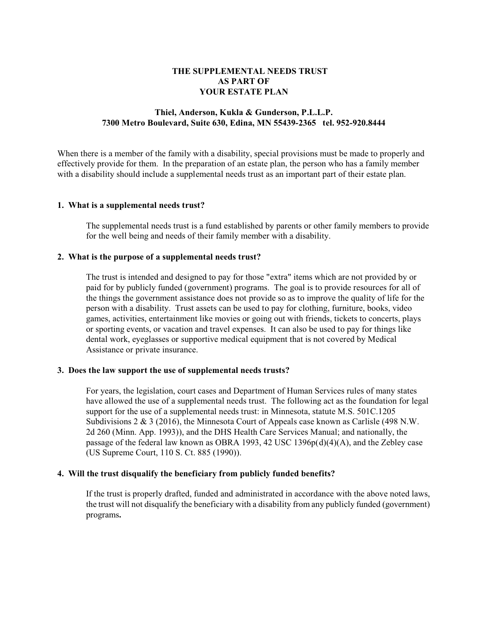# **THE SUPPLEMENTAL NEEDS TRUST AS PART OF YOUR ESTATE PLAN**

# **Thiel, Anderson, Kukla & Gunderson, P.L.L.P. 7300 Metro Boulevard, Suite 630, Edina, MN 55439-2365 tel. 952-920.8444**

When there is a member of the family with a disability, special provisions must be made to properly and effectively provide for them. In the preparation of an estate plan, the person who has a family member with a disability should include a supplemental needs trust as an important part of their estate plan.

### **1. What is a supplemental needs trust?**

The supplemental needs trust is a fund established by parents or other family members to provide for the well being and needs of their family member with a disability.

### **2. What is the purpose of a supplemental needs trust?**

The trust is intended and designed to pay for those "extra" items which are not provided by or paid for by publicly funded (government) programs. The goal is to provide resources for all of the things the government assistance does not provide so as to improve the quality of life for the person with a disability. Trust assets can be used to pay for clothing, furniture, books, video games, activities, entertainment like movies or going out with friends, tickets to concerts, plays or sporting events, or vacation and travel expenses. It can also be used to pay for things like dental work, eyeglasses or supportive medical equipment that is not covered by Medical Assistance or private insurance.

#### **3. Does the law support the use of supplemental needs trusts?**

For years, the legislation, court cases and Department of Human Services rules of many states have allowed the use of a supplemental needs trust. The following act as the foundation for legal support for the use of a supplemental needs trust: in Minnesota, statute M.S. 501C.1205 Subdivisions 2 & 3 (2016), the Minnesota Court of Appeals case known as Carlisle (498 N.W. 2d 260 (Minn. App. 1993)), and the DHS Health Care Services Manual; and nationally, the passage of the federal law known as OBRA 1993, 42 USC 1396p(d)(4)(A), and the Zebley case (US Supreme Court, 110 S. Ct. 885 (1990)).

# **4. Will the trust disqualify the beneficiary from publicly funded benefits?**

If the trust is properly drafted, funded and administrated in accordance with the above noted laws, the trust will not disqualify the beneficiary with a disability from any publicly funded (government) programs**.**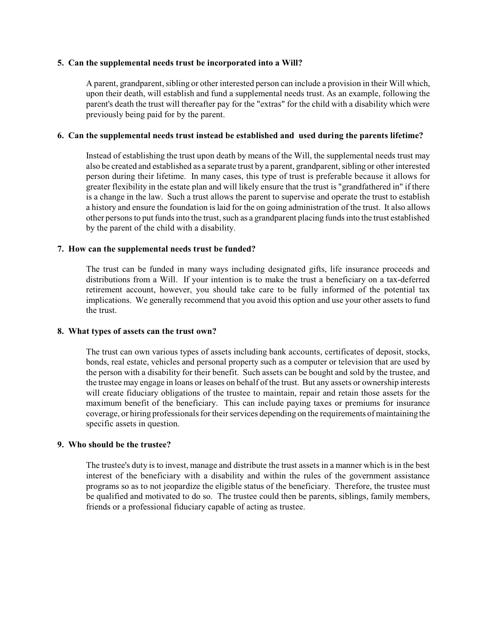### **5. Can the supplemental needs trust be incorporated into a Will?**

A parent, grandparent, sibling or other interested person can include a provision in their Will which, upon their death, will establish and fund a supplemental needs trust. As an example, following the parent's death the trust will thereafter pay for the "extras" for the child with a disability which were previously being paid for by the parent.

# **6. Can the supplemental needs trust instead be established and used during the parents lifetime?**

Instead of establishing the trust upon death by means of the Will, the supplemental needs trust may also be created and established as a separate trust by a parent, grandparent, sibling or other interested person during their lifetime. In many cases, this type of trust is preferable because it allows for greater flexibility in the estate plan and will likely ensure that the trust is "grandfathered in" if there is a change in the law. Such a trust allows the parent to supervise and operate the trust to establish a history and ensure the foundation is laid for the on going administration of the trust. It also allows other persons to put funds into the trust, such as a grandparent placing funds into the trust established by the parent of the child with a disability.

### **7. How can the supplemental needs trust be funded?**

The trust can be funded in many ways including designated gifts, life insurance proceeds and distributions from a Will. If your intention is to make the trust a beneficiary on a tax-deferred retirement account, however, you should take care to be fully informed of the potential tax implications. We generally recommend that you avoid this option and use your other assets to fund the trust.

#### **8. What types of assets can the trust own?**

The trust can own various types of assets including bank accounts, certificates of deposit, stocks, bonds, real estate, vehicles and personal property such as a computer or television that are used by the person with a disability for their benefit. Such assets can be bought and sold by the trustee, and the trustee may engage in loans or leases on behalf of the trust. But any assets or ownership interests will create fiduciary obligations of the trustee to maintain, repair and retain those assets for the maximum benefit of the beneficiary. This can include paying taxes or premiums for insurance coverage, or hiring professionals for their services depending on the requirements of maintaining the specific assets in question.

### **9. Who should be the trustee?**

The trustee's duty is to invest, manage and distribute the trust assets in a manner which is in the best interest of the beneficiary with a disability and within the rules of the government assistance programs so as to not jeopardize the eligible status of the beneficiary. Therefore, the trustee must be qualified and motivated to do so. The trustee could then be parents, siblings, family members, friends or a professional fiduciary capable of acting as trustee.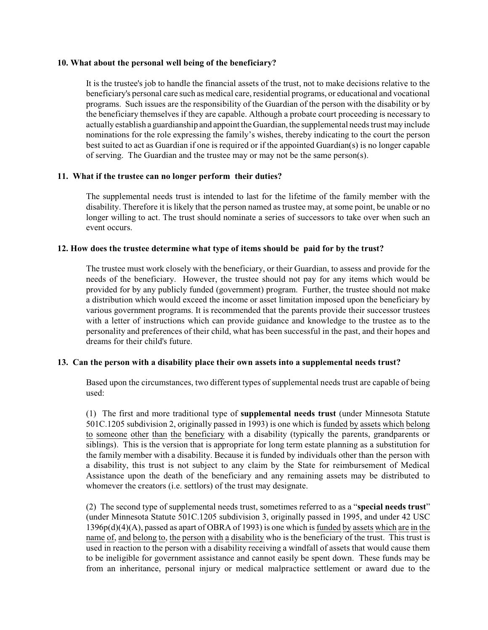### **10. What about the personal well being of the beneficiary?**

It is the trustee's job to handle the financial assets of the trust, not to make decisions relative to the beneficiary's personal care such as medical care, residential programs, or educational and vocational programs. Such issues are the responsibility of the Guardian of the person with the disability or by the beneficiary themselves if they are capable. Although a probate court proceeding is necessary to actually establish a guardianship and appoint the Guardian, the supplemental needs trustmay include nominations for the role expressing the family's wishes, thereby indicating to the court the person best suited to act as Guardian if one is required or if the appointed Guardian(s) is no longer capable of serving. The Guardian and the trustee may or may not be the same person(s).

# **11. What if the trustee can no longer perform their duties?**

The supplemental needs trust is intended to last for the lifetime of the family member with the disability. Therefore it is likely that the person named as trustee may, at some point, be unable or no longer willing to act. The trust should nominate a series of successors to take over when such an event occurs.

### **12. How does the trustee determine what type of items should be paid for by the trust?**

The trustee must work closely with the beneficiary, or their Guardian, to assess and provide for the needs of the beneficiary. However, the trustee should not pay for any items which would be provided for by any publicly funded (government) program. Further, the trustee should not make a distribution which would exceed the income or asset limitation imposed upon the beneficiary by various government programs. It is recommended that the parents provide their successor trustees with a letter of instructions which can provide guidance and knowledge to the trustee as to the personality and preferences of their child, what has been successful in the past, and their hopes and dreams for their child's future.

# **13. Can the person with a disability place their own assets into a supplemental needs trust?**

Based upon the circumstances, two different types of supplemental needs trust are capable of being used:

(1) The first and more traditional type of **supplemental needs trust** (under Minnesota Statute 501C.1205 subdivision 2, originally passed in 1993) is one which is funded by assets which belong to someone other than the beneficiary with a disability (typically the parents, grandparents or siblings). This is the version that is appropriate for long term estate planning as a substitution for the family member with a disability. Because it is funded by individuals other than the person with a disability, this trust is not subject to any claim by the State for reimbursement of Medical Assistance upon the death of the beneficiary and any remaining assets may be distributed to whomever the creators (i.e. settlors) of the trust may designate.

(2) The second type of supplemental needs trust, sometimes referred to as a "**special needs trust**" (under Minnesota Statute 501C.1205 subdivision 3, originally passed in 1995, and under 42 USC 1396p(d)(4)(A), passed as apart of OBRA of 1993) is one which is funded by assets which are in the name of, and belong to, the person with a disability who is the beneficiary of the trust. This trust is used in reaction to the person with a disability receiving a windfall of assets that would cause them to be ineligible for government assistance and cannot easily be spent down. These funds may be from an inheritance, personal injury or medical malpractice settlement or award due to the